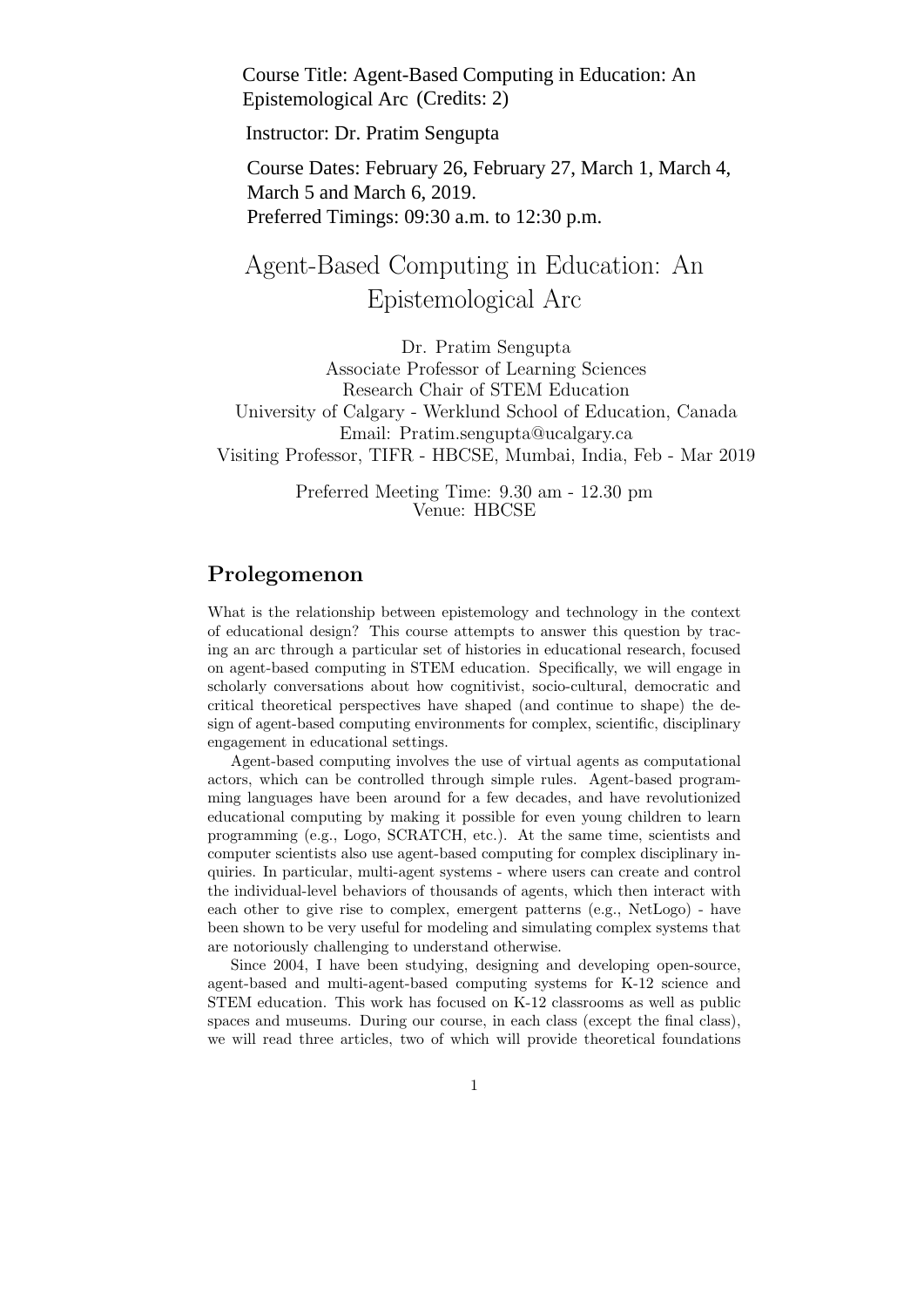Course Title: Agent-Based Computing in Education: An Epistemological Arc (Credits: 2)

Instructor: Dr. Pratim Sengupta

Course Dates: February 26, February 27, March 1, March 4, March 5 and March 6, 2019. Preferred Timings: 09:30 a.m. to 12:30 p.m.

# Agent-Based Computing in Education: An Epistemological Arc

Dr. Pratim Sengupta Associate Professor of Learning Sciences Research Chair of STEM Education University of Calgary - Werklund School of Education, Canada Email: Pratim.sengupta@ucalgary.ca Visiting Professor, TIFR - HBCSE, Mumbai, India, Feb - Mar 2019

> Preferred Meeting Time: 9.30 am - 12.30 pm Venue: HBCSE

### Prolegomenon

What is the relationship between epistemology and technology in the context of educational design? This course attempts to answer this question by tracing an arc through a particular set of histories in educational research, focused on agent-based computing in STEM education. Specifically, we will engage in scholarly conversations about how cognitivist, socio-cultural, democratic and critical theoretical perspectives have shaped (and continue to shape) the design of agent-based computing environments for complex, scientific, disciplinary engagement in educational settings.

Agent-based computing involves the use of virtual agents as computational actors, which can be controlled through simple rules. Agent-based programming languages have been around for a few decades, and have revolutionized educational computing by making it possible for even young children to learn programming (e.g., Logo, SCRATCH, etc.). At the same time, scientists and computer scientists also use agent-based computing for complex disciplinary inquiries. In particular, multi-agent systems - where users can create and control the individual-level behaviors of thousands of agents, which then interact with each other to give rise to complex, emergent patterns (e.g., NetLogo) - have been shown to be very useful for modeling and simulating complex systems that are notoriously challenging to understand otherwise.

Since 2004, I have been studying, designing and developing open-source, agent-based and multi-agent-based computing systems for K-12 science and STEM education. This work has focused on K-12 classrooms as well as public spaces and museums. During our course, in each class (except the final class), we will read three articles, two of which will provide theoretical foundations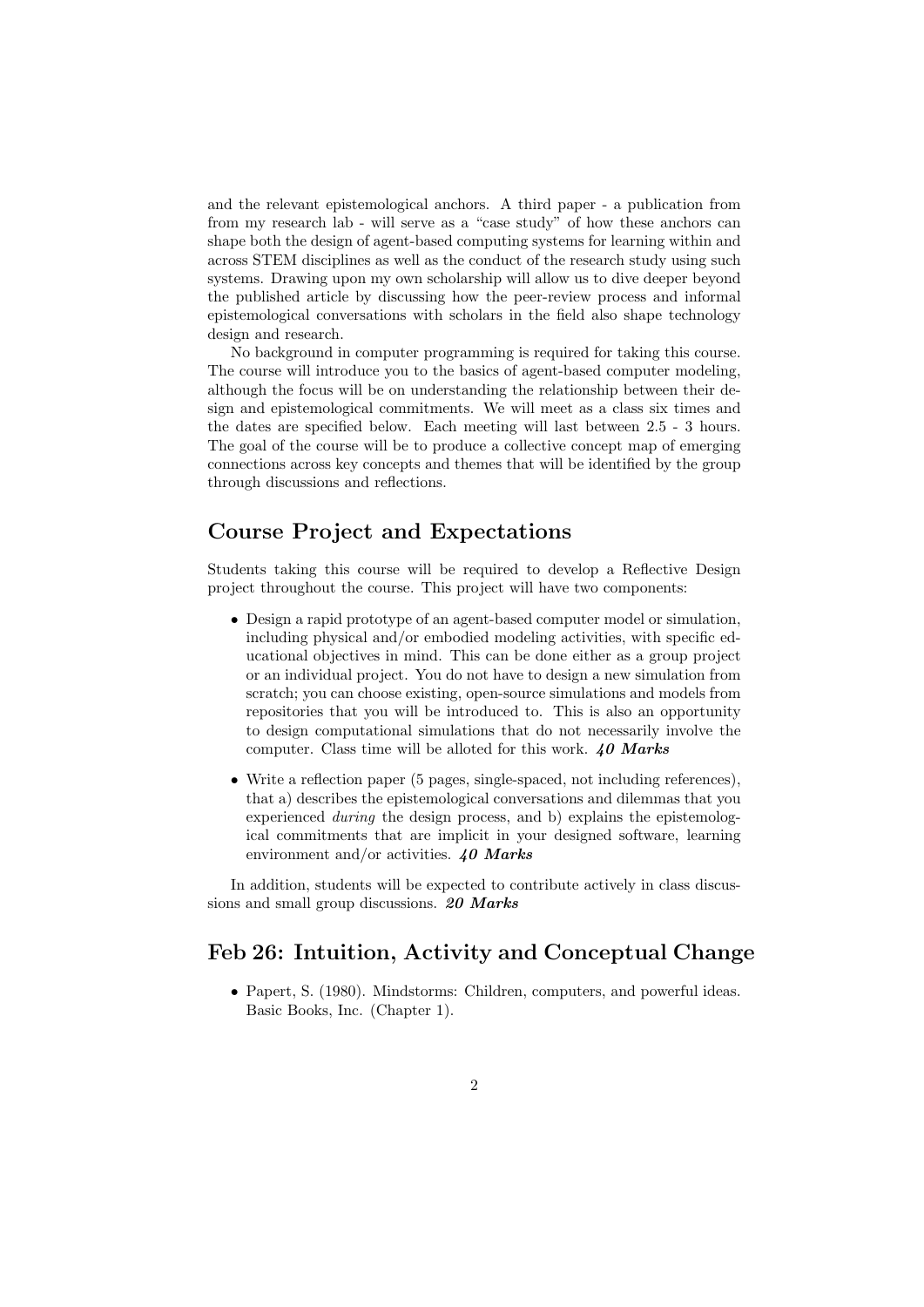and the relevant epistemological anchors. A third paper - a publication from from my research lab - will serve as a "case study" of how these anchors can shape both the design of agent-based computing systems for learning within and across STEM disciplines as well as the conduct of the research study using such systems. Drawing upon my own scholarship will allow us to dive deeper beyond the published article by discussing how the peer-review process and informal epistemological conversations with scholars in the field also shape technology design and research.

No background in computer programming is required for taking this course. The course will introduce you to the basics of agent-based computer modeling, although the focus will be on understanding the relationship between their design and epistemological commitments. We will meet as a class six times and the dates are specified below. Each meeting will last between 2.5 - 3 hours. The goal of the course will be to produce a collective concept map of emerging connections across key concepts and themes that will be identified by the group through discussions and reflections.

### Course Project and Expectations

Students taking this course will be required to develop a Reflective Design project throughout the course. This project will have two components:

- Design a rapid prototype of an agent-based computer model or simulation, including physical and/or embodied modeling activities, with specific educational objectives in mind. This can be done either as a group project or an individual project. You do not have to design a new simulation from scratch; you can choose existing, open-source simulations and models from repositories that you will be introduced to. This is also an opportunity to design computational simulations that do not necessarily involve the computer. Class time will be alloted for this work.  $40$  Marks
- Write a reflection paper (5 pages, single-spaced, not including references), that a) describes the epistemological conversations and dilemmas that you experienced during the design process, and b) explains the epistemological commitments that are implicit in your designed software, learning environment and/or activities.  $40$  Marks

In addition, students will be expected to contribute actively in class discussions and small group discussions. 20 Marks

### Feb 26: Intuition, Activity and Conceptual Change

• Papert, S. (1980). Mindstorms: Children, computers, and powerful ideas. Basic Books, Inc. (Chapter 1).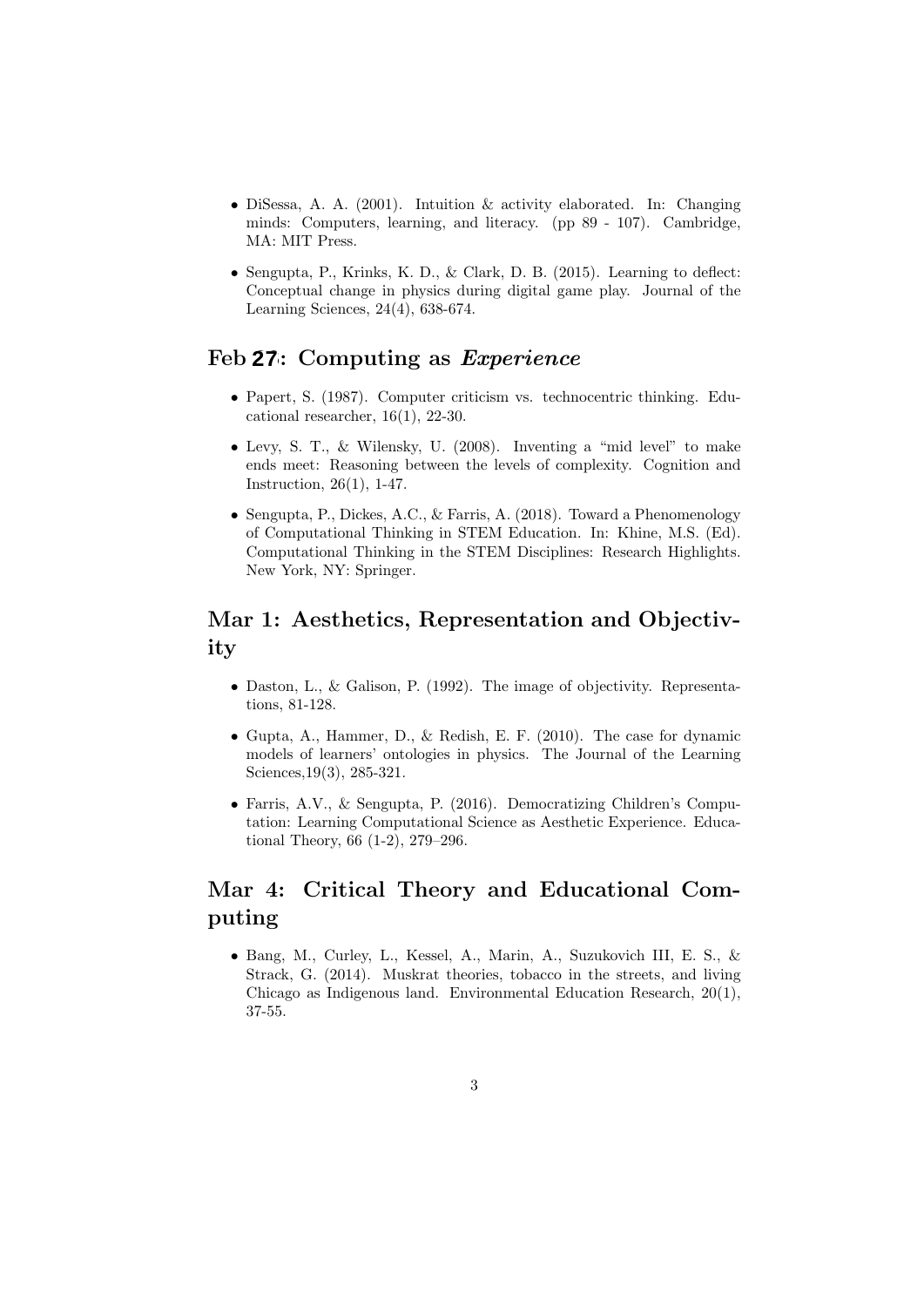- DiSessa, A. A. (2001). Intuition & activity elaborated. In: Changing minds: Computers, learning, and literacy. (pp 89 - 107). Cambridge, MA: MIT Press.
- Sengupta, P., Krinks, K. D., & Clark, D. B. (2015). Learning to deflect: Conceptual change in physics during digital game play. Journal of the Learning Sciences, 24(4), 638-674.

### Feb 27: Computing as *Experience*

- Papert, S. (1987). Computer criticism vs. technocentric thinking. Educational researcher,  $16(1)$ ,  $22-30$ .
- Levy, S. T., & Wilensky, U. (2008). Inventing a "mid level" to make ends meet: Reasoning between the levels of complexity. Cognition and Instruction, 26(1), 1-47.
- Sengupta, P., Dickes, A.C., & Farris, A. (2018). Toward a Phenomenology of Computational Thinking in STEM Education. In: Khine, M.S. (Ed). Computational Thinking in the STEM Disciplines: Research Highlights. New York, NY: Springer.

### Mar 1: Aesthetics, Representation and Objectivity

- Daston, L., & Galison, P. (1992). The image of objectivity. Representations, 81-128.
- Gupta, A., Hammer, D., & Redish, E. F. (2010). The case for dynamic models of learners' ontologies in physics. The Journal of the Learning Sciences,19(3), 285-321.
- Farris, A.V., & Sengupta, P. (2016). Democratizing Children's Computation: Learning Computational Science as Aesthetic Experience. Educational Theory, 66 (1-2), 279–296.

## Mar 4: Critical Theory and Educational Computing

• Bang, M., Curley, L., Kessel, A., Marin, A., Suzukovich III, E. S., & Strack, G. (2014). Muskrat theories, tobacco in the streets, and living Chicago as Indigenous land. Environmental Education Research, 20(1), 37-55.